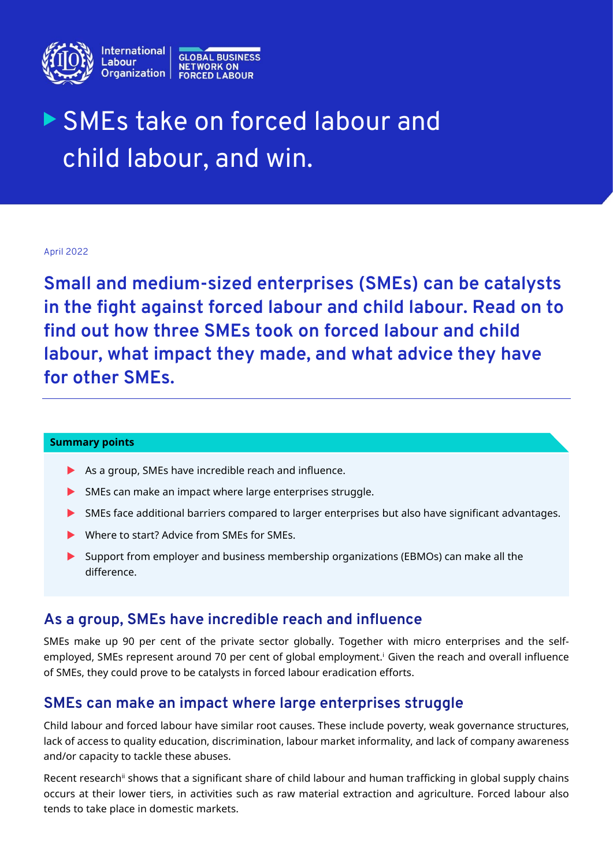

# SMEs take on forced labour and child labour, and win.

April 2022

**Small and medium-sized enterprises (SMEs) can be catalysts in the fight against forced labour and child labour. Read on to find out how three SMEs took on forced labour and child labour, what impact they made, and what advice they have for other SMEs.**

#### **Summary points**

- As a group, SMEs have incredible reach and influence.
- SMEs can make an impact where large enterprises struggle.
- SMEs face additional barriers compared to larger enterprises but also have significant advantages.
- Where to start? Advice from SMEs for SMEs.
- Support from employer and business membership organizations (EBMOs) can make all the difference.

## **As a group, SMEs have incredible reach and influence**

SMEs make up 90 per cent of the private sector globally. Together with micro enterprises and the selfemployed, SMEs represent around 70 per cent of global employment.<sup>i</sup> Given the reach and overall influence of SMEs, they could prove to be catalysts in forced labour eradication efforts.

## **SMEs can make an impact where large enterprises struggle**

Child labour and forced labour have similar root causes. These include poverty, weak governance structures, lack of access to quality education, discrimination, labour market informality, and lack of company awareness and/or capacity to tackle these abuses.

Recent research<sup>ii</sup> shows that a significant share of child labour and human trafficking in global supply chains occurs at their lower tiers, in activities such as raw material extraction and agriculture. Forced labour also tends to take place in domestic markets.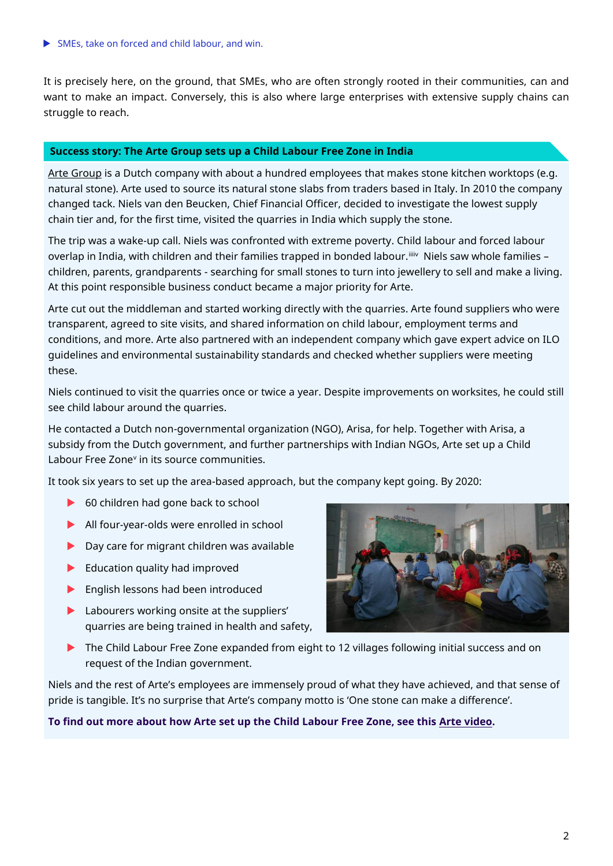It is precisely here, on the ground, that SMEs, who are often strongly rooted in their communities, can and want to make an impact. Conversely, this is also where large enterprises with extensive supply chains can struggle to reach.

#### **Success story: The Arte Group sets up a Child Labour Free Zone in India**

Arte [Group](https://www.artegroep.nl/) is a Dutch company with about a hundred employees that makes stone kitchen worktops (e.g. natural stone). Arte used to source its natural stone slabs from traders based in Italy. In 2010 the company changed tack. Niels van den Beucken, Chief Financial Officer, decided to investigate the lowest supply chain tier and, for the first time, visited the quarries in India which supply the stone.

The trip was a wake-up call. Niels was confronted with extreme poverty. Child labour and forced labour overlap in India, with children and their families trapped in bonded labour.<sup>iiiv</sup> Niels saw whole families children, parents, grandparents - searching for small stones to turn into jewellery to sell and make a living. At this point responsible business conduct became a major priority for Arte.

Arte cut out the middleman and started working directly with the quarries. Arte found suppliers who were transparent, agreed to site visits, and shared information on child labour, employment terms and conditions, and more. Arte also partnered with an independent company which gave expert advice on ILO guidelines and environmental sustainability standards and checked whether suppliers were meeting these.

Niels continued to visit the quarries once or twice a year. Despite improvements on worksites, he could still see child labour around the quarries.

He contacted a Dutch non-governmental organization (NGO), Arisa, for help. Together with Arisa, a subsidy from the Dutch government, and further partnerships with Indian NGOs, Arte set up a Child Labour Free Zone<sup>v</sup> in its source communities.

It took six years to set up the area-based approach, but the company kept going. By 2020:

- ▶ 60 children had gone back to school
- All four-year-olds were enrolled in school
- ▶ Day care for migrant children was available
- $\blacktriangleright$  Education quality had improved
- **English lessons had been introduced**
- **Labourers working onsite at the suppliers'** quarries are being trained in health and safety,



The Child Labour Free Zone expanded from eight to 12 villages following initial success and on request of the Indian government.

Niels and the rest of Arte's employees are immensely proud of what they have achieved, and that sense of pride is tangible. It's no surprise that Arte's company motto is 'One stone can make a difference'.

#### **To find out more about how Arte set up the Child Labour Free Zone, see this Arte [video.](https://www.youtube.com/watch?v=CFtbwDXb4IA&feature=youtu.be)**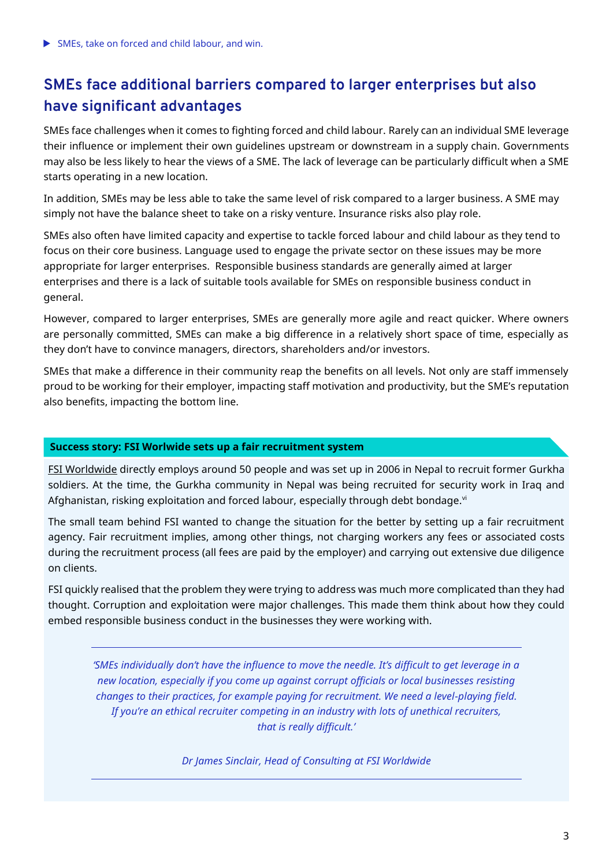SMEs, take on forced and child labour, and win.

# **SMEs face additional barriers compared to larger enterprises but also have significant advantages**

SMEs face challenges when it comes to fighting forced and child labour. Rarely can an individual SME leverage their influence or implement their own guidelines upstream or downstream in a supply chain. Governments may also be less likely to hear the views of a SME. The lack of leverage can be particularly difficult when a SME starts operating in a new location.

In addition, SMEs may be less able to take the same level of risk compared to a larger business. A SME may simply not have the balance sheet to take on a risky venture. Insurance risks also play role.

SMEs also often have limited capacity and expertise to tackle forced labour and child labour as they tend to focus on their core business. Language used to engage the private sector on these issues may be more appropriate for larger enterprises. Responsible business standards are generally aimed at larger enterprises and there is a lack of suitable tools available for SMEs on responsible business conduct in general.

However, compared to larger enterprises, SMEs are generally more agile and react quicker. Where owners are personally committed, SMEs can make a big difference in a relatively short space of time, especially as they don't have to convince managers, directors, shareholders and/or investors.

SMEs that make a difference in their community reap the benefits on all levels. Not only are staff immensely proud to be working for their employer, impacting staff motivation and productivity, but the SME's reputation also benefits, impacting the bottom line.

#### **Success story: FSI Worlwide sets up a fair recruitment system**

[FSI Worldwide](http://www.fsi-worldwide.com/) directly employs around 50 people and was set up in 2006 in Nepal to recruit former Gurkha soldiers. At the time, the Gurkha community in Nepal was being recruited for security work in Iraq and Afghanistan, risking exploitation and forced labour, especially through debt bondage.vi

The small team behind FSI wanted to change the situation for the better by setting up a fair recruitment agency. Fair recruitment implies, among other things, not charging workers any fees or associated costs during the recruitment process (all fees are paid by the employer) and carrying out extensive due diligence on clients.

FSI quickly realised that the problem they were trying to address was much more complicated than they had thought. Corruption and exploitation were major challenges. This made them think about how they could embed responsible business conduct in the businesses they were working with.

*'SMEs individually don't have the influence to move the needle. It's difficult to get leverage in a new location, especially if you come up against corrupt officials or local businesses resisting changes to their practices, for example paying for recruitment. We need a level-playing field. If you're an ethical recruiter competing in an industry with lots of unethical recruiters, that is really difficult.'*

*Dr James Sinclair, Head of Consulting at FSI Worldwide*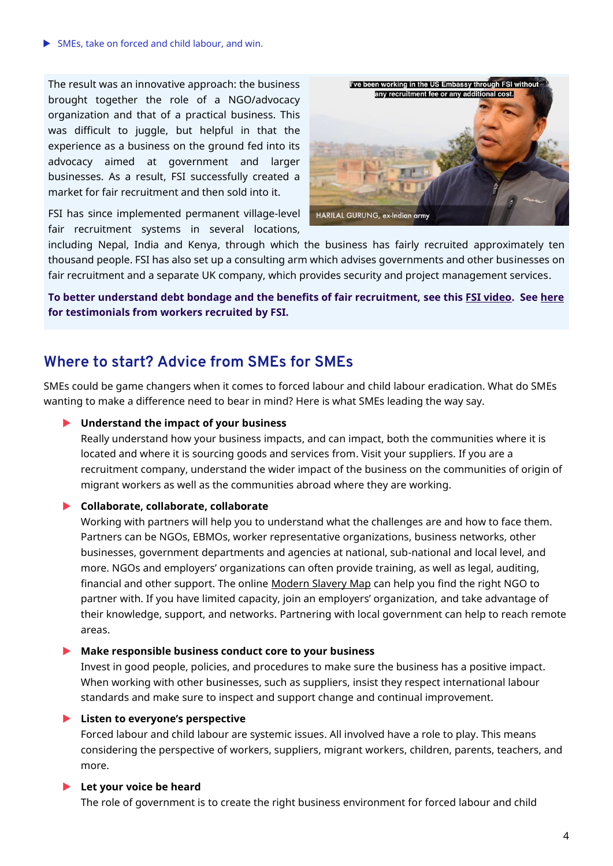SMEs, take on forced and child labour, and win.

The result was an innovative approach: the business brought together the role of a NGO/advocacy organization and that of a practical business. This was difficult to juggle, but helpful in that the experience as a business on the ground fed into its advocacy aimed at government and larger businesses. As a result, FSI successfully created a market for fair recruitment and then sold into it.

I've been working in the US Embassy through FSI without any recruitment fee or any additional cost. HARILAL GURUNG, ex-Indian army

FSI has since implemented permanent village-level fair recruitment systems in several locations,

including Nepal, India and Kenya, through which the business has fairly recruited approximately ten thousand people. FSI has also set up a consulting arm which advises governments and other businesses on fair recruitment and a separate UK company, which provides security and project management services.

**To better understand debt bondage and the benefits of fair recruitment, see this [FSI video.](https://youtu.be/uEHBy-tX_QQ) See [here](https://www.fairlabouralliance.com/impact) for testimonials from workers recruited by FSI.** 

## **Where to start? Advice from SMEs for SMEs**

SMEs could be game changers when it comes to forced labour and child labour eradication. What do SMEs wanting to make a difference need to bear in mind? Here is what SMEs leading the way say.

#### **Understand the impact of your business**

Really understand how your business impacts, and can impact, both the communities where it is located and where it is sourcing goods and services from. Visit your suppliers. If you are a recruitment company, understand the wider impact of the business on the communities of origin of migrant workers as well as the communities abroad where they are working.

## **Collaborate, collaborate, collaborate**

Working with partners will help you to understand what the challenges are and how to face them. Partners can be NGOs, EBMOs, worker representative organizations, business networks, other businesses, government departments and agencies at national, sub-national and local level, and more. NGOs and employers' organizations can often provide training, as well as legal, auditing, financial and other support. The online [Modern Slavery Map](https://www.modernslaverymap.org/#section=welcome) can help you find the right NGO to partner with. If you have limited capacity, join an employers' organization, and take advantage of their knowledge, support, and networks. Partnering with local government can help to reach remote areas.

#### **Make responsible business conduct core to your business**

Invest in good people, policies, and procedures to make sure the business has a positive impact. When working with other businesses, such as suppliers, insist they respect international labour standards and make sure to inspect and support change and continual improvement.

#### **Listen to everyone's perspective**

Forced labour and child labour are systemic issues. All involved have a role to play. This means considering the perspective of workers, suppliers, migrant workers, children, parents, teachers, and more.

#### **Let your voice be heard**

The role of government is to create the right business environment for forced labour and child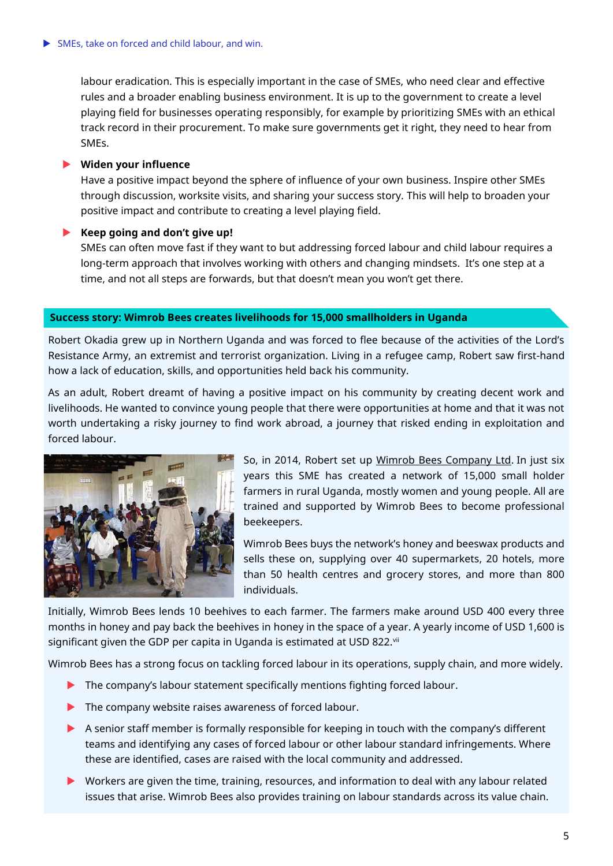labour eradication. This is especially important in the case of SMEs, who need clear and effective rules and a broader enabling business environment. It is up to the government to create a level playing field for businesses operating responsibly, for example by prioritizing SMEs with an ethical track record in their procurement. To make sure governments get it right, they need to hear from SMEs.

#### **Widen your influence**

Have a positive impact beyond the sphere of influence of your own business. Inspire other SMEs through discussion, worksite visits, and sharing your success story. This will help to broaden your positive impact and contribute to creating a level playing field.

## **Keep going and don't give up!**

SMEs can often move fast if they want to but addressing forced labour and child labour requires a long-term approach that involves working with others and changing mindsets. It's one step at a time, and not all steps are forwards, but that doesn't mean you won't get there.

#### **Success story: Wimrob Bees creates livelihoods for 15,000 smallholders in Uganda**

Robert Okadia grew up in Northern Uganda and was forced to flee because of the activities of the Lord's Resistance Army, an extremist and terrorist organization. Living in a refugee camp, Robert saw first-hand how a lack of education, skills, and opportunities held back his community.

As an adult, Robert dreamt of having a positive impact on his community by creating decent work and livelihoods. He wanted to convince young people that there were opportunities at home and that it was not worth undertaking a risky journey to find work abroad, a journey that risked ending in exploitation and forced labour.



So, in 2014, Robert set up [Wimrob Bees Company Ltd.](https://www.facebook.com/people/WimRob-Bees-Company-U-Ltd/100057059515786/) In just six years this SME has created a network of 15,000 small holder farmers in rural Uganda, mostly women and young people. All are trained and supported by Wimrob Bees to become professional beekeepers.

Wimrob Bees buys the network's honey and beeswax products and sells these on, supplying over 40 supermarkets, 20 hotels, more than 50 health centres and grocery stores, and more than 800 individuals.

Initially, Wimrob Bees lends 10 beehives to each farmer. The farmers make around USD 400 every three months in honey and pay back the beehives in honey in the space of a year. A yearly income of USD 1,600 is significant given the GDP per capita in Uganda is estimated at USD 822.vii

Wimrob Bees has a strong focus on tackling forced labour in its operations, supply chain, and more widely.

- The company's labour statement specifically mentions fighting forced labour.
- The company website raises awareness of forced labour.
- A senior staff member is formally responsible for keeping in touch with the company's different teams and identifying any cases of forced labour or other labour standard infringements. Where these are identified, cases are raised with the local community and addressed.
- Workers are given the time, training, resources, and information to deal with any labour related issues that arise. Wimrob Bees also provides training on labour standards across its value chain.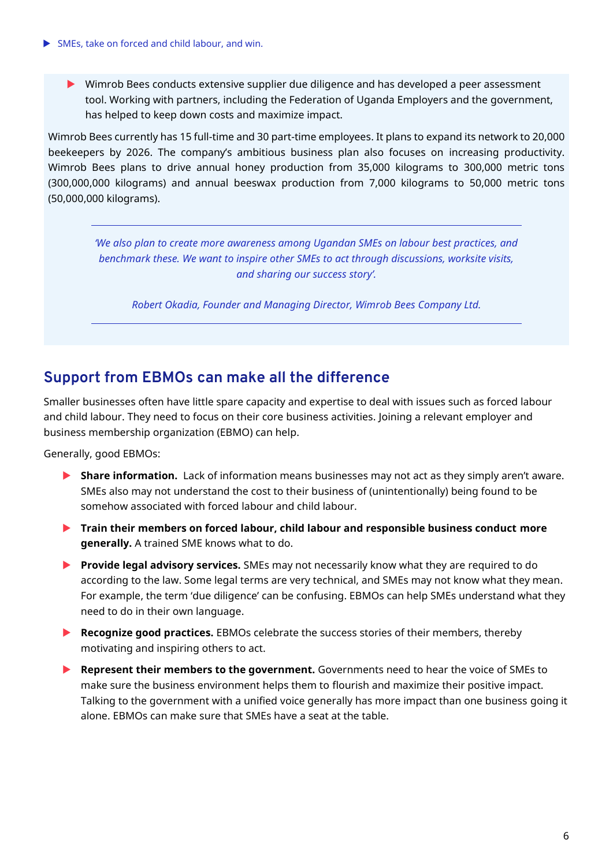Wimrob Bees conducts extensive supplier due diligence and has developed a peer assessment tool. Working with partners, including the Federation of Uganda Employers and the government, has helped to keep down costs and maximize impact.

Wimrob Bees currently has 15 full-time and 30 part-time employees. It plans to expand its network to 20,000 beekeepers by 2026. The company's ambitious business plan also focuses on increasing productivity. Wimrob Bees plans to drive annual honey production from 35,000 kilograms to 300,000 metric tons (300,000,000 kilograms) and annual beeswax production from 7,000 kilograms to 50,000 metric tons (50,000,000 kilograms).

*'We also plan to create more awareness among Ugandan SMEs on labour best practices, and benchmark these. We want to inspire other SMEs to act through discussions, worksite visits, and sharing our success story'.*

*Robert Okadia, Founder and Managing Director, Wimrob Bees Company Ltd.* 

## **Support from EBMOs can make all the difference**

Smaller businesses often have little spare capacity and expertise to deal with issues such as forced labour and child labour. They need to focus on their core business activities. Joining a relevant employer and business membership organization (EBMO) can help.

Generally, good EBMOs:

- **Share information.** Lack of information means businesses may not act as they simply aren't aware. SMEs also may not understand the cost to their business of (unintentionally) being found to be somehow associated with forced labour and child labour.
- **Train their members on forced labour, child labour and responsible business conduct more generally.** A trained SME knows what to do.
- **Provide legal advisory services.** SMEs may not necessarily know what they are required to do according to the law. Some legal terms are very technical, and SMEs may not know what they mean. For example, the term 'due diligence' can be confusing. EBMOs can help SMEs understand what they need to do in their own language.
- **Recognize good practices.** EBMOs celebrate the success stories of their members, thereby motivating and inspiring others to act.
- **Represent their members to the government.** Governments need to hear the voice of SMEs to make sure the business environment helps them to flourish and maximize their positive impact. Talking to the government with a unified voice generally has more impact than one business going it alone. EBMOs can make sure that SMEs have a seat at the table.